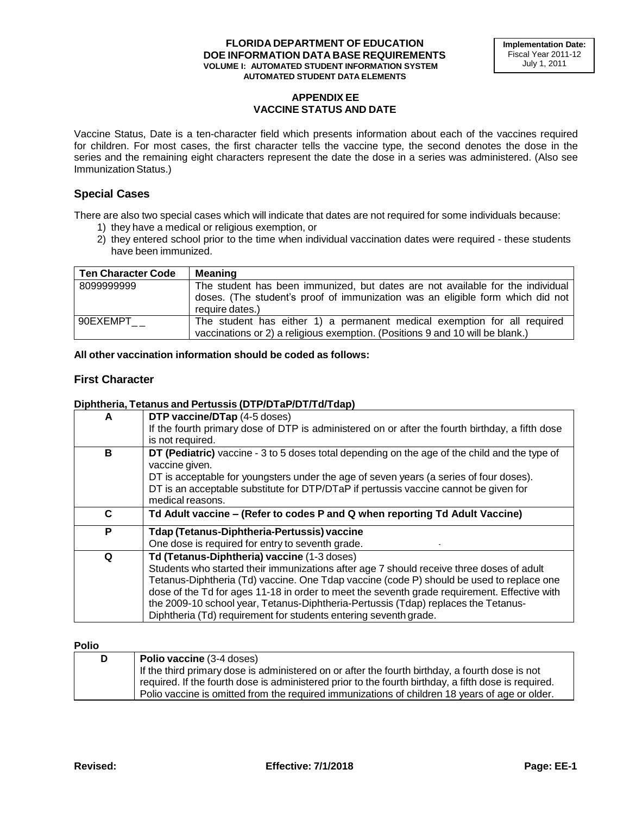# **APPENDIX EE VACCINE STATUS AND DATE**

Vaccine Status, Date is a ten-character field which presents information about each of the vaccines required for children. For most cases, the first character tells the vaccine type, the second denotes the dose in the series and the remaining eight characters represent the date the dose in a series was administered. (Also see Immunization Status.)

# **Special Cases**

There are also two special cases which will indicate that dates are not required for some individuals because:

- 1) they have a medical or religious exemption, or
- 2) they entered school prior to the time when individual vaccination dates were required these students have been immunized.

| <b>Ten Character Code</b> | <b>Meaning</b>                                                                                                                                                                      |
|---------------------------|-------------------------------------------------------------------------------------------------------------------------------------------------------------------------------------|
| 8099999999                | The student has been immunized, but dates are not available for the individual<br>doses. (The student's proof of immunization was an eligible form which did not<br>require dates.) |
| 90EXEMPT                  | The student has either 1) a permanent medical exemption for all required<br>vaccinations or 2) a religious exemption. (Positions 9 and 10 will be blank.)                           |

#### **All other vaccination information should be coded as follows:**

# **First Character**

## **Diphtheria, Tetanus and Pertussis (DTP/DTaP/DT/Td/Tdap)**

| A | <b>DTP vaccine/DTap (4-5 doses)</b><br>If the fourth primary dose of DTP is administered on or after the fourth birthday, a fifth dose<br>is not required.                                                                                                                                                                                                                                                                                                                                    |
|---|-----------------------------------------------------------------------------------------------------------------------------------------------------------------------------------------------------------------------------------------------------------------------------------------------------------------------------------------------------------------------------------------------------------------------------------------------------------------------------------------------|
| в | DT (Pediatric) vaccine - 3 to 5 doses total depending on the age of the child and the type of<br>vaccine given.<br>DT is acceptable for youngsters under the age of seven years (a series of four doses).<br>DT is an acceptable substitute for DTP/DTaP if pertussis vaccine cannot be given for<br>medical reasons.                                                                                                                                                                         |
| C | Td Adult vaccine - (Refer to codes P and Q when reporting Td Adult Vaccine)                                                                                                                                                                                                                                                                                                                                                                                                                   |
| P | Tdap (Tetanus-Diphtheria-Pertussis) vaccine<br>One dose is required for entry to seventh grade.                                                                                                                                                                                                                                                                                                                                                                                               |
| Q | Td (Tetanus-Diphtheria) vaccine (1-3 doses)<br>Students who started their immunizations after age 7 should receive three doses of adult<br>Tetanus-Diphtheria (Td) vaccine. One Tdap vaccine (code P) should be used to replace one<br>dose of the Td for ages 11-18 in order to meet the seventh grade requirement. Effective with<br>the 2009-10 school year, Tetanus-Diphtheria-Pertussis (Tdap) replaces the Tetanus-<br>Diphtheria (Td) requirement for students entering seventh grade. |

#### **Polio**

| D | Polio vaccine (3-4 doses)                                                                            |
|---|------------------------------------------------------------------------------------------------------|
|   | If the third primary dose is administered on or after the fourth birthday, a fourth dose is not      |
|   | required. If the fourth dose is administered prior to the fourth birthday, a fifth dose is required. |
|   | Polio vaccine is omitted from the required immunizations of children 18 years of age or older.       |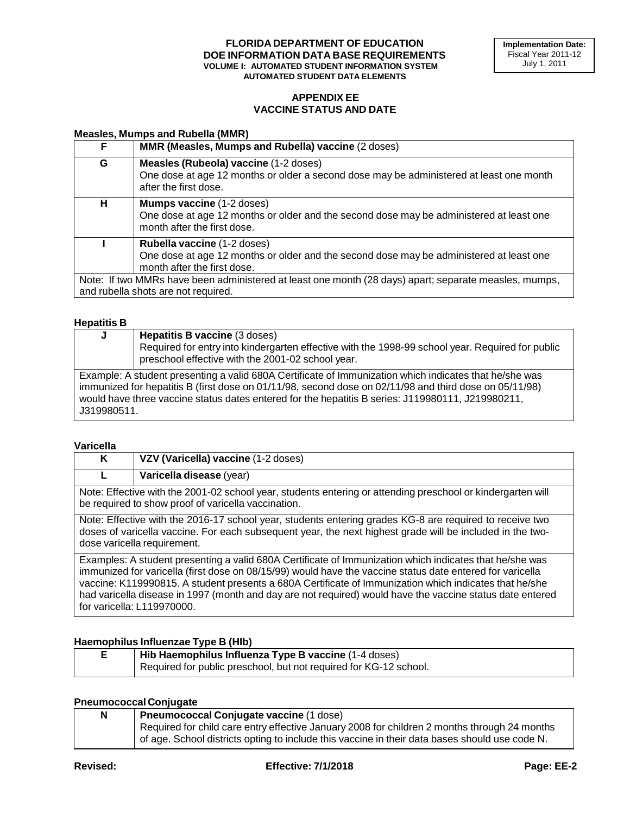# **APPENDIX EE VACCINE STATUS AND DATE**

#### **Measles, Mumps and Rubella (MMR)**

| F. | MMR (Measles, Mumps and Rubella) vaccine (2 doses)                                                                                                                                                                                                                    |
|----|-----------------------------------------------------------------------------------------------------------------------------------------------------------------------------------------------------------------------------------------------------------------------|
| G  | Measles (Rubeola) vaccine (1-2 doses)<br>One dose at age 12 months or older a second dose may be administered at least one month<br>after the first dose.                                                                                                             |
| н  | <b>Mumps vaccine</b> (1-2 doses)<br>One dose at age 12 months or older and the second dose may be administered at least one<br>month after the first dose.                                                                                                            |
|    | <b>Rubella vaccine</b> (1-2 doses)<br>One dose at age 12 months or older and the second dose may be administered at least one<br>month after the first dose.<br>Note: If two MMRs have been administered at least one month (28 days) apart; separate measles, mumps, |
|    | and rubella shots are not required.                                                                                                                                                                                                                                   |

#### **Hepatitis B**

| J           | <b>Hepatitis B vaccine (3 doses)</b><br>Required for entry into kindergarten effective with the 1998-99 school year. Required for public<br>preschool effective with the 2001-02 school year.                                                                                                                         |
|-------------|-----------------------------------------------------------------------------------------------------------------------------------------------------------------------------------------------------------------------------------------------------------------------------------------------------------------------|
| J319980511. | Example: A student presenting a valid 680A Certificate of Immunization which indicates that he/she was<br>immunized for hepatitis B (first dose on 01/11/98, second dose on 02/11/98 and third dose on 05/11/98)<br>would have three vaccine status dates entered for the hepatitis B series: J119980111, J219980211, |

#### **Varicella**

| K                                                                                                                                                                                                                                                                                                                                                                                                                                                                         | VZV (Varicella) vaccine (1-2 doses) |
|---------------------------------------------------------------------------------------------------------------------------------------------------------------------------------------------------------------------------------------------------------------------------------------------------------------------------------------------------------------------------------------------------------------------------------------------------------------------------|-------------------------------------|
| L                                                                                                                                                                                                                                                                                                                                                                                                                                                                         | Varicella disease (year)            |
| Note: Effective with the 2001-02 school year, students entering or attending preschool or kindergarten will<br>be required to show proof of varicella vaccination.                                                                                                                                                                                                                                                                                                        |                                     |
| Note: Effective with the 2016-17 school year, students entering grades KG-8 are required to receive two<br>doses of varicella vaccine. For each subsequent year, the next highest grade will be included in the two-<br>dose varicella requirement.                                                                                                                                                                                                                       |                                     |
| Examples: A student presenting a valid 680A Certificate of Immunization which indicates that he/she was<br>immunized for varicella (first dose on 08/15/99) would have the vaccine status date entered for varicella<br>vaccine: K119990815. A student presents a 680A Certificate of Immunization which indicates that he/she<br>had varicella disease in 1997 (month and day are not required) would have the vaccine status date entered<br>for varicella: L119970000. |                                     |

### **Haemophilus Influenzae Type B (HIb)**

| Hib Haemophilus Influenza Type B vaccine (1-4 doses)              |
|-------------------------------------------------------------------|
| Required for public preschool, but not required for KG-12 school. |

### **Pneumococcal Conjugate**

| N | Pneumococcal Conjugate vaccine (1 dose)                                                        |
|---|------------------------------------------------------------------------------------------------|
|   | Required for child care entry effective January 2008 for children 2 months through 24 months   |
|   | of age. School districts opting to include this vaccine in their data bases should use code N. |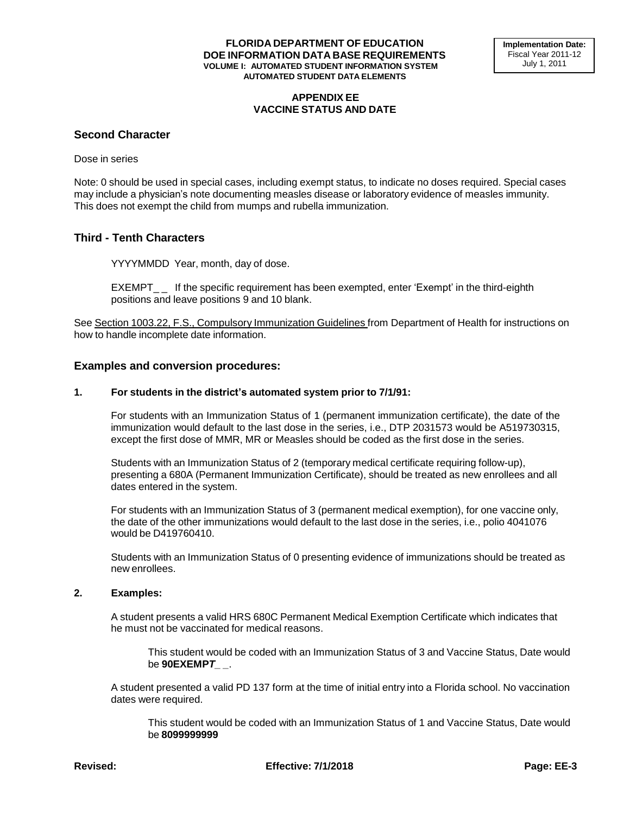### **APPENDIX EE VACCINE STATUS AND DATE**

### **Second Character**

Dose in series

Note: 0 should be used in special cases, including exempt status, to indicate no doses required. Special cases may include a physician's note documenting measles disease or laboratory evidence of measles immunity. This does not exempt the child from mumps and rubella immunization.

# **Third - Tenth Characters**

YYYYMMDD Year, month, day of dose.

EXEMPT\_\_ If the specific requirement has been exempted, enter 'Exempt' in the third-eighth positions and leave positions 9 and 10 blank.

See Section 1003.22, F.S., Compulsory Immunization Guidelines from Department of Health for instructions on how to handle incomplete date information.

### **Examples and conversion procedures:**

#### **1. For students in the district's automated system prior to 7/1/91:**

For students with an Immunization Status of 1 (permanent immunization certificate), the date of the immunization would default to the last dose in the series, i.e., DTP 2031573 would be A519730315, except the first dose of MMR, MR or Measles should be coded as the first dose in the series.

Students with an Immunization Status of 2 (temporary medical certificate requiring follow-up), presenting a 680A (Permanent Immunization Certificate), should be treated as new enrollees and all dates entered in the system.

For students with an Immunization Status of 3 (permanent medical exemption), for one vaccine only, the date of the other immunizations would default to the last dose in the series, i.e., polio 4041076 would be D419760410.

Students with an Immunization Status of 0 presenting evidence of immunizations should be treated as new enrollees.

### **2. Examples:**

A student presents a valid HRS 680C Permanent Medical Exemption Certificate which indicates that he must not be vaccinated for medical reasons.

This student would be coded with an Immunization Status of 3 and Vaccine Status, Date would be **90EXEMP***T\_ \_*.

A student presented a valid PD 137 form at the time of initial entry into a Florida school. No vaccination dates were required.

This student would be coded with an Immunization Status of 1 and Vaccine Status, Date would be **8099999999**